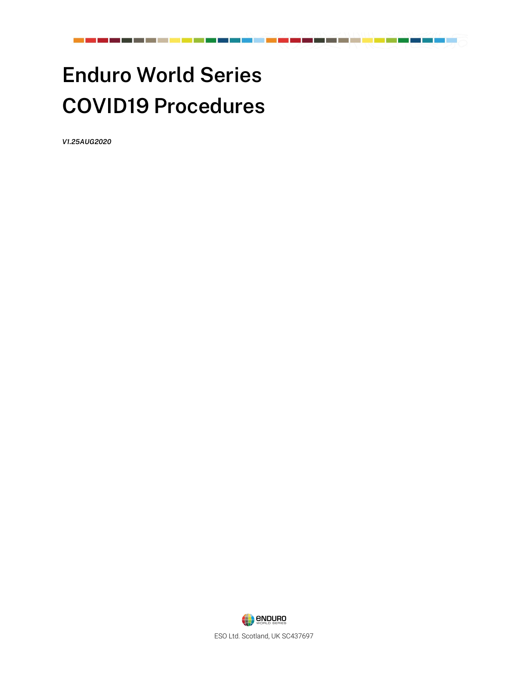# **Enduro World Series COVID19 Procedures**

<u> 1951 - Johann Marie Barn, marka</u>

*V1.25AUG2020*

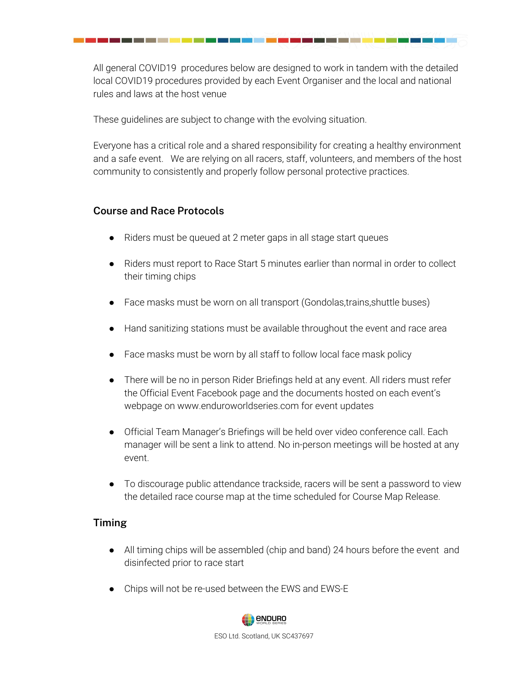All general COVID19 procedures below are designed to work in tandem with the detailed local COVID19 procedures provided by each Event Organiser and the local and national rules and laws at the host venue

These guidelines are subject to change with the evolving situation.

Everyone has a critical role and a shared responsibility for creating a healthy environment and a safe event. We are relying on all racers, staff, volunteers, and members of the host community to consistently and properly follow personal protective practices.

### **Course and Race Protocols**

- Riders must be queued at 2 meter gaps in all stage start queues
- Riders must report to Race Start 5 minutes earlier than normal in order to collect their timing chips
- Face masks must be worn on all transport (Gondolas,trains, shuttle buses)
- Hand sanitizing stations must be available throughout the event and race area
- Face masks must be worn by all staff to follow local face mask policy
- There will be no in person Rider Briefings held at any event. All riders must refer the Official Event Facebook page and the documents hosted on each event's webpage on www.enduroworldseries.com for event updates
- Official Team Manager's Briefings will be held over video conference call. Each manager will be sent a link to attend. No in-person meetings will be hosted at any event.
- To discourage public attendance trackside, racers will be sent a password to view the detailed race course map at the time scheduled for Course Map Release.

# **Timing**

- All timing chips will be assembled (chip and band) 24 hours before the event and disinfected prior to race start
- Chips will not be re-used between the EWS and EWS-E



ESO Ltd. Scotland, UK SC437697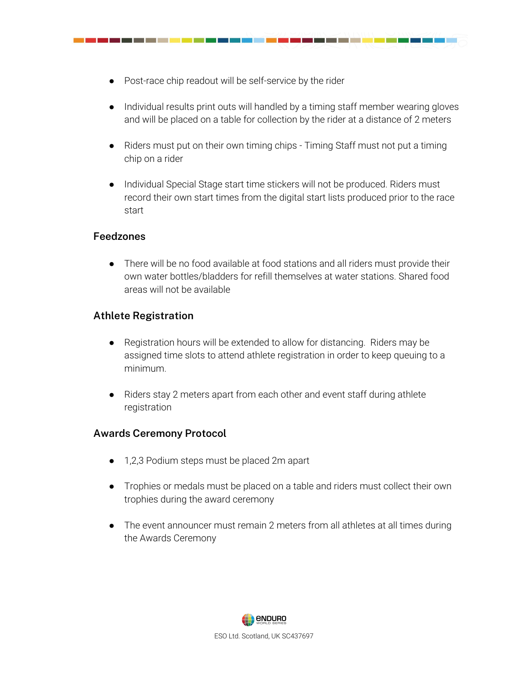● Post-race chip readout will be self-service by the rider

- Individual results print outs will handled by a timing staff member wearing gloves and will be placed on a table for collection by the rider at a distance of 2 meters
- Riders must put on their own timing chips Timing Staff must not put a timing chip on a rider
- Individual Special Stage start time stickers will not be produced. Riders must record their own start times from the digital start lists produced prior to the race start

#### **Feedzones**

● There will be no food available at food stations and all riders must provide their own water bottles/bladders for refill themselves at water stations. Shared food areas will not be available

#### **Athlete Registration**

- Registration hours will be extended to allow for distancing. Riders may be assigned time slots to attend athlete registration in order to keep queuing to a minimum.
- Riders stay 2 meters apart from each other and event staff during athlete registration

#### **Awards Ceremony Protocol**

- 1,2,3 Podium steps must be placed 2m apart
- Trophies or medals must be placed on a table and riders must collect their own trophies during the award ceremony
- The event announcer must remain 2 meters from all athletes at all times during the Awards Ceremony

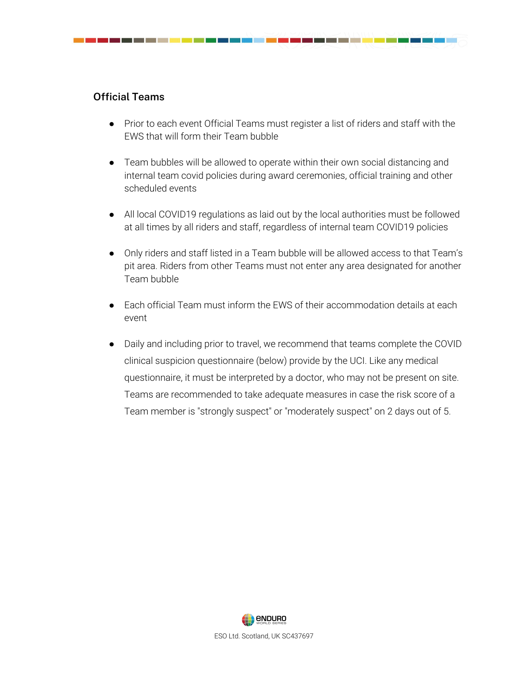

● Prior to each event Official Teams must register a list of riders and staff with the EWS that will form their Team bubble

- Team bubbles will be allowed to operate within their own social distancing and internal team covid policies during award ceremonies, official training and other scheduled events
- All local COVID19 regulations as laid out by the local authorities must be followed at all times by all riders and staff, regardless of internal team COVID19 policies
- Only riders and staff listed in a Team bubble will be allowed access to that Team's pit area. Riders from other Teams must not enter any area designated for another Team bubble
- Each official Team must inform the EWS of their accommodation details at each event
- Daily and including prior to travel, we recommend that teams complete the COVID clinical suspicion questionnaire (below) provide by the UCI. Like any medical questionnaire, it must be interpreted by a doctor, who may not be present on site. Teams are recommended to take adequate measures in case the risk score of a Team member is "strongly suspect" or "moderately suspect" on 2 days out of 5.

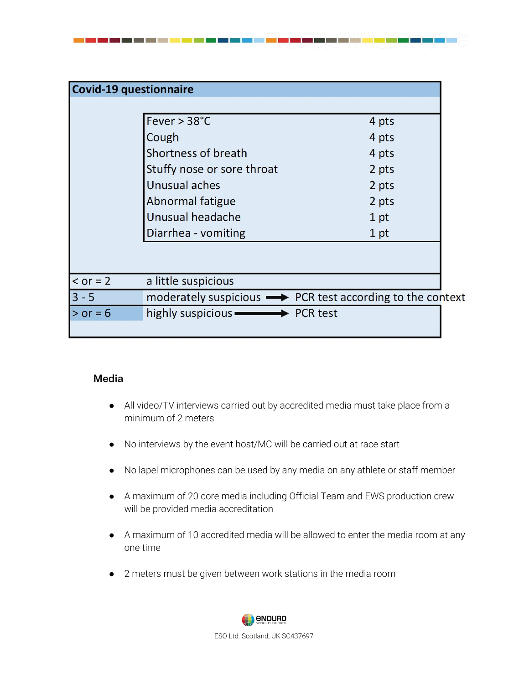|              | <b>Covid-19 questionnaire</b>                                             |       |
|--------------|---------------------------------------------------------------------------|-------|
|              |                                                                           |       |
|              | Fever $> 38^{\circ}$ C                                                    | 4 pts |
|              | Cough                                                                     | 4 pts |
|              | Shortness of breath                                                       | 4 pts |
|              | Stuffy nose or sore throat                                                | 2 pts |
|              | Unusual aches                                                             | 2 pts |
|              | Abnormal fatigue                                                          | 2 pts |
|              | Unusual headache                                                          | 1 pt  |
|              | Diarrhea - vomiting                                                       | 1 pt  |
|              |                                                                           |       |
|              |                                                                           |       |
| $\le$ or = 2 | a little suspicious                                                       |       |
| $3 - 5$      | moderately suspicious $\longrightarrow$ PCR test according to the context |       |
| $>$ or = 6   | highly suspicious <b>COVER</b> PCR test                                   |       |

\_\_\_\_\_\_\_\_\_\_\_\_\_\_\_\_\_\_\_\_\_\_

and the company of the company

#### **Media**

<u> Tanzania (m. 1898)</u>

- All video/TV interviews carried out by accredited media must take place from a minimum of 2 meters
- No interviews by the event host/MC will be carried out at race start
- No lapel microphones can be used by any media on any athlete or staff member
- A maximum of 20 core media including Official Team and EWS production crew will be provided media accreditation
- A maximum of 10 accredited media will be allowed to enter the media room at any one time
- 2 meters must be given between work stations in the media room



ESO Ltd. Scotland, UK SC437697